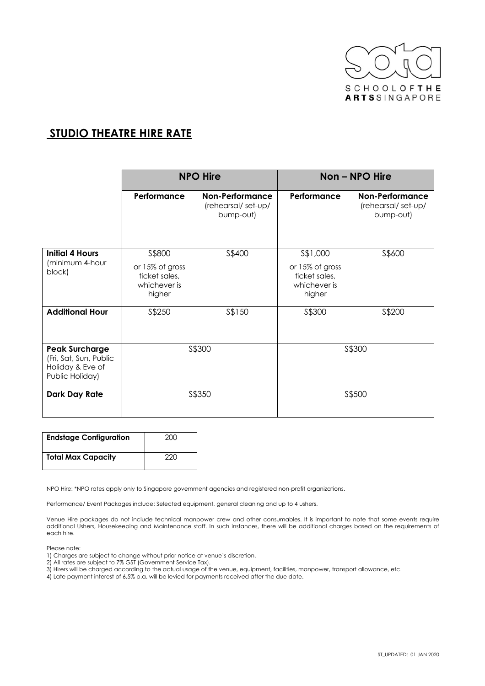

## **STUDIO THEATRE HIRE RATE**

|                                                                                        | <b>NPO Hire</b>                                                      |                                                           | Non – NPO Hire                                                          |                                                           |
|----------------------------------------------------------------------------------------|----------------------------------------------------------------------|-----------------------------------------------------------|-------------------------------------------------------------------------|-----------------------------------------------------------|
|                                                                                        | Performance                                                          | <b>Non-Performance</b><br>(rehearsal/set-up/<br>bump-out) | Performance                                                             | <b>Non-Performance</b><br>(rehearsal/set-up/<br>bump-out) |
| <b>Initial 4 Hours</b><br>(minimum 4-hour<br>block)                                    | S\$800<br>or 15% of gross<br>ticket sales,<br>whichever is<br>higher | S\$400                                                    | \$\$1,000<br>or 15% of gross<br>ticket sales,<br>whichever is<br>higher | S\$600                                                    |
| <b>Additional Hour</b>                                                                 | S\$250                                                               | S\$150                                                    | \$\$300                                                                 | S\$200                                                    |
| <b>Peak Surcharge</b><br>(Fri, Sat, Sun, Public<br>Holiday & Eve of<br>Public Holiday) | S\$300                                                               |                                                           |                                                                         | \$\$300                                                   |
| Dark Day Rate                                                                          | S\$350                                                               |                                                           |                                                                         | \$\$500                                                   |

| <b>Endstage Configuration</b> | 200 |
|-------------------------------|-----|
| <b>Total Max Capacity</b>     | 220 |

NPO Hire: \*NPO rates apply only to Singapore government agencies and registered non-profit organizations.

Performance/ Event Packages include: Selected equipment, general cleaning and up to 4 ushers.

Venue Hire packages do not include technical manpower crew and other consumables. It is important to note that some events require additional Ushers, Housekeeping and Maintenance staff. In such instances, there will be additional charges based on the requirements of each hire.

Please note:

1) Charges are subject to change without prior notice at venue's discretion.

2) All rates are subject to 7% GST (Government Service Tax).

3) Hirers will be charged according to the actual usage of the venue, equipment, facilities, manpower, transport allowance, etc.

4) Late payment interest of 6.5% p.a. will be levied for payments received after the due date.